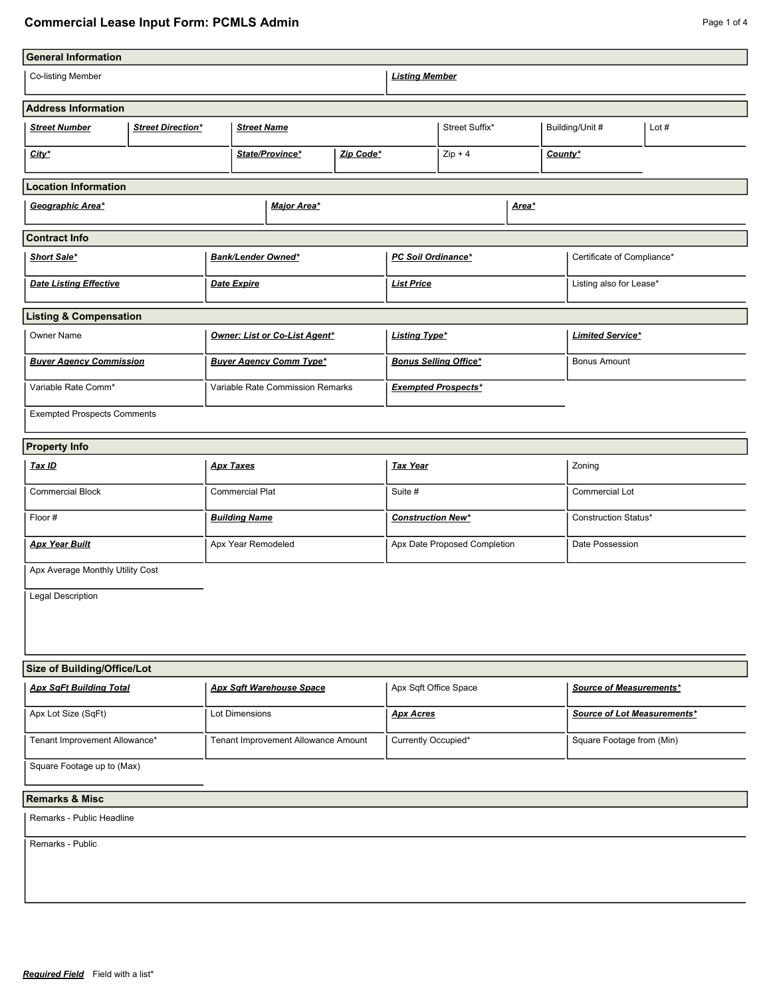## **Commercial Lease Input Form: PCMLS Admin Page 1 of 4 Page 1 of 4 Page 1 of 4**

| <b>General Information</b>         |                          |                                 |                                     |                              |                              |                            |                |  |                            |                             |         |  |
|------------------------------------|--------------------------|---------------------------------|-------------------------------------|------------------------------|------------------------------|----------------------------|----------------|--|----------------------------|-----------------------------|---------|--|
| <b>Co-listing Member</b>           |                          |                                 |                                     |                              | <b>Listing Member</b>        |                            |                |  |                            |                             |         |  |
| <b>Address Information</b>         |                          |                                 |                                     |                              |                              |                            |                |  |                            |                             |         |  |
| <b>Street Number</b>               | <b>Street Direction*</b> |                                 | <b>Street Name</b>                  |                              |                              |                            | Street Suffix* |  |                            | Building/Unit #             | Lot $#$ |  |
| City*                              |                          |                                 |                                     | State/Province*<br>Zip Code* |                              |                            | $Zip + 4$      |  |                            | County*                     |         |  |
| <b>Location Information</b>        |                          |                                 |                                     |                              |                              |                            |                |  |                            |                             |         |  |
| Geographic Area*                   |                          |                                 |                                     | <b>Major Area*</b>           |                              |                            |                |  | Area*                      |                             |         |  |
| <b>Contract Info</b>               |                          |                                 |                                     |                              |                              |                            |                |  |                            |                             |         |  |
| <b>Short Sale*</b>                 |                          | <b>Bank/Lender Owned*</b>       |                                     |                              | PC Soil Ordinance*           |                            |                |  | Certificate of Compliance* |                             |         |  |
| <b>Date Listing Effective</b>      |                          | <b>Date Expire</b>              |                                     |                              | <b>List Price</b>            |                            |                |  |                            | Listing also for Lease*     |         |  |
| <b>Listing &amp; Compensation</b>  |                          |                                 |                                     |                              |                              |                            |                |  |                            |                             |         |  |
| Owner Name                         |                          |                                 | Owner: List or Co-List Agent*       |                              |                              | <b>Listing Type*</b>       |                |  |                            | <b>Limited Service*</b>     |         |  |
| <b>Buyer Agency Commission</b>     |                          | <b>Buyer Agency Comm Type*</b>  |                                     |                              | <b>Bonus Selling Office*</b> |                            |                |  |                            | <b>Bonus Amount</b>         |         |  |
| Variable Rate Comm*                |                          |                                 | Variable Rate Commission Remarks    |                              |                              | <b>Exempted Prospects*</b> |                |  |                            |                             |         |  |
| <b>Exempted Prospects Comments</b> |                          |                                 |                                     |                              |                              |                            |                |  |                            |                             |         |  |
| <b>Property Info</b>               |                          |                                 |                                     |                              |                              |                            |                |  |                            |                             |         |  |
| <u>Tax ID</u>                      |                          | <b>Apx Taxes</b>                |                                     |                              | <b>Tax Year</b>              |                            |                |  | Zoning                     |                             |         |  |
| <b>Commercial Block</b>            |                          | <b>Commercial Plat</b>          |                                     |                              | Suite #                      |                            |                |  | Commercial Lot             |                             |         |  |
| Floor #                            |                          | <b>Building Name</b>            |                                     |                              | <b>Construction New*</b>     |                            |                |  | Construction Status*       |                             |         |  |
| <b>Apx Year Built</b>              |                          | Apx Year Remodeled              |                                     |                              | Apx Date Proposed Completion |                            |                |  | Date Possession            |                             |         |  |
| Apx Average Monthly Utility Cost   |                          |                                 |                                     |                              |                              |                            |                |  |                            |                             |         |  |
| Legal Description                  |                          |                                 |                                     |                              |                              |                            |                |  |                            |                             |         |  |
|                                    |                          |                                 |                                     |                              |                              |                            |                |  |                            |                             |         |  |
| Size of Building/Office/Lot        |                          |                                 |                                     |                              |                              |                            |                |  |                            |                             |         |  |
| <b>Apx SqFt Building Total</b>     |                          | <b>Apx Sqft Warehouse Space</b> |                                     |                              | Apx Sqft Office Space        |                            |                |  | Source of Measurements*    |                             |         |  |
| Apx Lot Size (SqFt)                |                          |                                 | Lot Dimensions                      |                              |                              | <b>Apx Acres</b>           |                |  |                            | Source of Lot Measurements* |         |  |
| Tenant Improvement Allowance*      |                          |                                 | Tenant Improvement Allowance Amount |                              |                              | Currently Occupied*        |                |  | Square Footage from (Min)  |                             |         |  |
| Square Footage up to (Max)         |                          |                                 |                                     |                              |                              |                            |                |  |                            |                             |         |  |
| <b>Remarks &amp; Misc</b>          |                          |                                 |                                     |                              |                              |                            |                |  |                            |                             |         |  |
| Remarks - Public Headline          |                          |                                 |                                     |                              |                              |                            |                |  |                            |                             |         |  |
| Remarks - Public                   |                          |                                 |                                     |                              |                              |                            |                |  |                            |                             |         |  |
|                                    |                          |                                 |                                     |                              |                              |                            |                |  |                            |                             |         |  |
|                                    |                          |                                 |                                     |                              |                              |                            |                |  |                            |                             |         |  |
|                                    |                          |                                 |                                     |                              |                              |                            |                |  |                            |                             |         |  |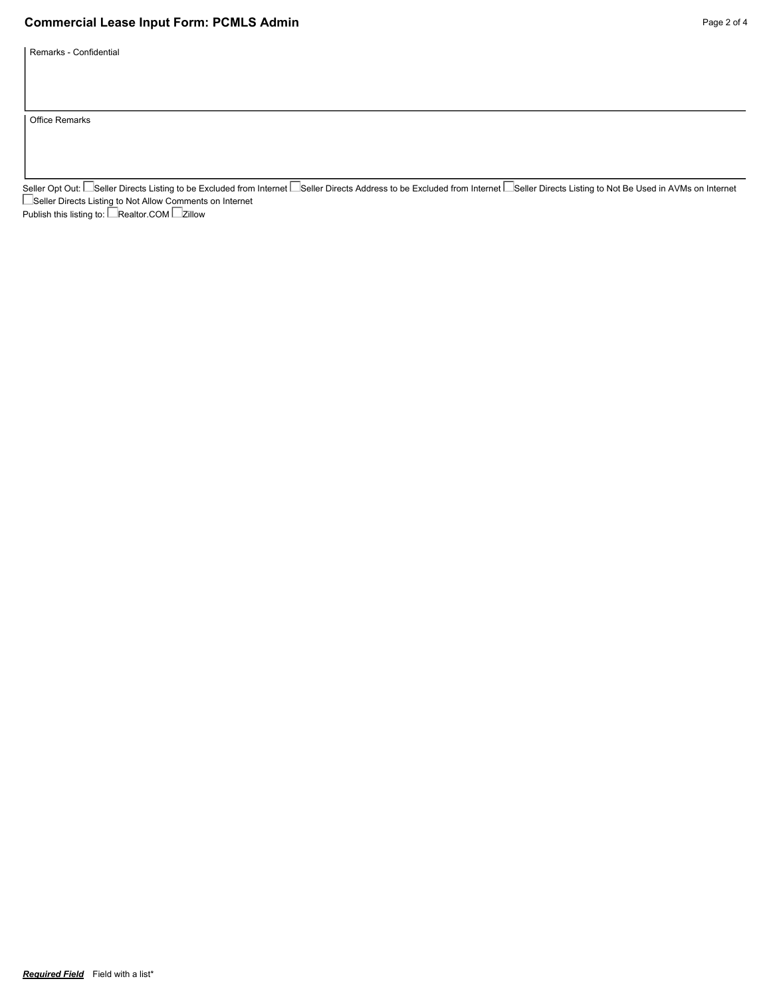## **Commercial Lease Input Form: PCMLS Admin Page 2 of 4 Page 2 of 4**

Remarks - Confidential

Office Remarks

Seller Opt Out: └─Seller Directs Listing to be Excluded from Internet └─Seller Directs Address to be Excluded from Internet └─Seller Directs Listing to Not Be Used in AVMs on Internet Seller Directs Listing to Not Allow Comments on Internet Publish this listing to: LeRealtor.COM Le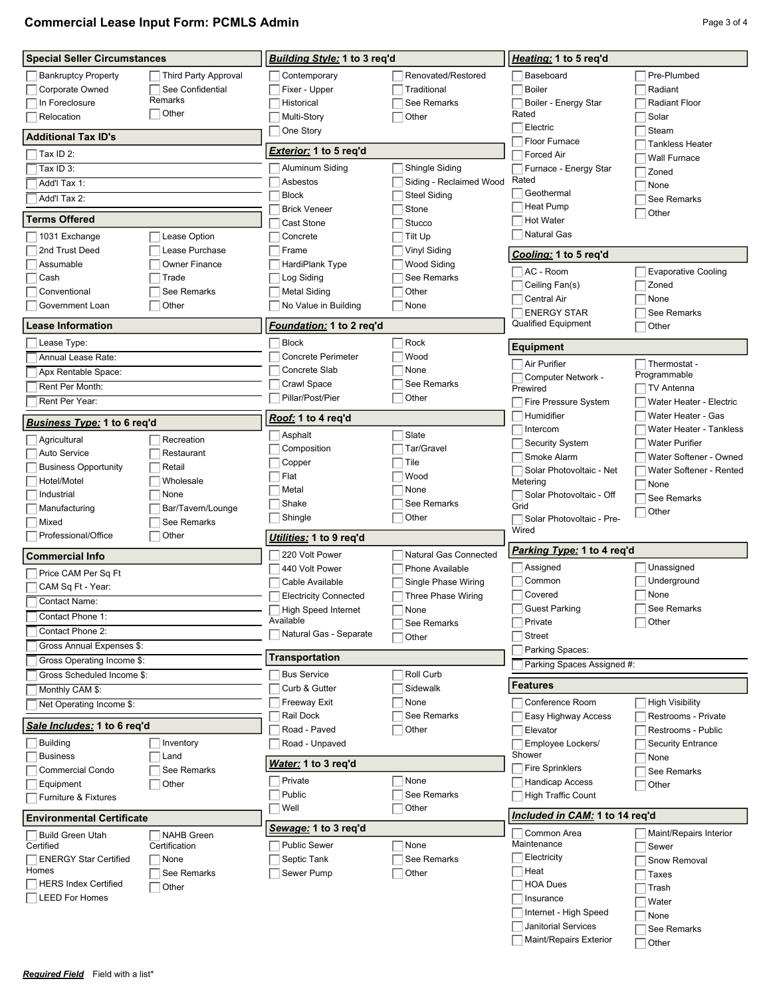| <b>Commercial Lease Input Form: PCMLS Admin</b> | Page 3 of 4 |
|-------------------------------------------------|-------------|
|-------------------------------------------------|-------------|

| <b>Special Seller Circumstances</b>        |                                  | <b>Building Style: 1 to 3 reg'd</b> |                         | Heating: 1 to 5 req'd            |                                |  |
|--------------------------------------------|----------------------------------|-------------------------------------|-------------------------|----------------------------------|--------------------------------|--|
| <b>Bankruptcy Property</b>                 | <b>Third Party Approval</b>      | Contemporary                        | Renovated/Restored      | Baseboard                        | Pre-Plumbed                    |  |
| Corporate Owned                            | See Confidential                 | Fixer - Upper                       | Traditional             | <b>Boiler</b>                    | Radiant                        |  |
| In Foreclosure                             | Remarks                          | Historical                          | See Remarks             | Boiler - Energy Star             | <b>Radiant Floor</b>           |  |
| Relocation                                 | Other                            | Multi-Story                         | Other                   | Rated                            | Solar                          |  |
|                                            |                                  | One Story                           |                         | Electric                         | Steam                          |  |
| <b>Additional Tax ID's</b>                 |                                  |                                     |                         | Floor Furnace                    | <b>Tankless Heater</b>         |  |
| Tax ID 2:                                  |                                  | <b>Exterior:</b> 1 to 5 req'd       |                         | <b>Forced Air</b>                | <b>Wall Furnace</b>            |  |
| Tax ID 3:                                  |                                  | Aluminum Siding                     | Shingle Siding          | Furnace - Energy Star            | Zoned                          |  |
| Add'l Tax 1:                               |                                  | Asbestos                            | Siding - Reclaimed Wood | Rated                            | None                           |  |
| Add'l Tax 2:                               |                                  | <b>Block</b>                        | <b>Steel Siding</b>     | Geothermal                       | See Remarks                    |  |
|                                            |                                  | <b>Brick Veneer</b>                 | Stone                   | <b>Heat Pump</b>                 | Other                          |  |
| Terms Offered                              |                                  | Cast Stone                          | Stucco                  | <b>Hot Water</b>                 |                                |  |
| 1031 Exchange                              | Lease Option                     | Concrete                            | Tilt Up                 | <b>Natural Gas</b>               |                                |  |
| 2nd Trust Deed                             | Lease Purchase                   | Frame                               | <b>Vinyl Siding</b>     | Cooling: 1 to 5 req'd            |                                |  |
| Assumable                                  | <b>Owner Finance</b>             | HardiPlank Type                     | Wood Siding             | AC - Room                        | <b>Evaporative Cooling</b>     |  |
| Cash                                       | Trade                            | Log Siding                          | See Remarks             | Ceiling Fan(s)                   | Zoned                          |  |
| Conventional                               | See Remarks                      | <b>Metal Siding</b>                 | Other                   | <b>Central Air</b>               | None                           |  |
| Government Loan                            | Other                            | No Value in Building                | None                    | <b>ENERGY STAR</b>               | See Remarks                    |  |
| Lease Information                          |                                  | Foundation: 1 to 2 reg'd            |                         | <b>Qualified Equipment</b>       | Other                          |  |
|                                            |                                  |                                     |                         |                                  |                                |  |
| Lease Type:                                |                                  | <b>Block</b>                        | Rock                    | <b>Equipment</b>                 |                                |  |
| Annual Lease Rate:                         |                                  | <b>Concrete Perimeter</b>           | Wood                    | Air Purifier                     | Thermostat -                   |  |
| Apx Rentable Space:                        |                                  | Concrete Slab                       | None                    | Computer Network -               | Programmable                   |  |
| Rent Per Month:                            |                                  | Crawl Space                         | See Remarks             | Prewired                         | <b>TV Antenna</b>              |  |
| Rent Per Year:                             |                                  | Pillar/Post/Pier                    | Other                   | <b>Fire Pressure System</b>      | Water Heater - Electric        |  |
| Business Type: 1 to 6 req'd                |                                  | Roof: 1 to 4 req'd                  |                         | Humidifier                       | Water Heater - Gas             |  |
|                                            |                                  | Asphalt                             | Slate                   | Intercom                         | <b>Water Heater - Tankless</b> |  |
| Agricultural                               | Recreation                       | Composition                         | Tar/Gravel              | Security System                  | <b>Water Purifier</b>          |  |
| <b>Auto Service</b>                        | Restaurant                       | Copper                              | Tile                    | Smoke Alarm                      | Water Softener - Owned         |  |
| <b>Business Opportunity</b><br>Hotel/Motel | Retail                           | Flat                                | Wood                    | Solar Photovoltaic - Net         | Water Softener - Rented        |  |
|                                            | Wholesale                        | Metal                               | None                    | Metering                         | None                           |  |
| Industrial                                 | None                             | Shake                               | See Remarks             | Solar Photovoltaic - Off<br>Grid | See Remarks                    |  |
| Manufacturing<br>Mixed                     | Bar/Tavern/Lounge<br>See Remarks | Shingle                             | Other                   | Solar Photovoltaic - Pre-        | Other                          |  |
| Professional/Office                        | Other                            |                                     |                         | Wired                            |                                |  |
|                                            |                                  | Utilities: 1 to 9 reg'd             |                         | Parking Type: 1 to 4 req'd       |                                |  |
| <b>Commercial Info</b>                     |                                  | 220 Volt Power                      | Natural Gas Connected   |                                  |                                |  |
| Price CAM Per Sq Ft                        |                                  | 440 Volt Power                      | <b>Phone Available</b>  | Assigned                         | Unassigned                     |  |
| CAM Sq Ft - Year:                          |                                  | Cable Available                     | Single Phase Wiring     | Common                           | Underground                    |  |
| Contact Name:                              |                                  | <b>Electricity Connected</b>        | Three Phase Wiring      | Covered                          | None                           |  |
| Contact Phone 1:                           |                                  | <b>High Speed Internet</b>          | None                    | <b>Guest Parking</b>             | See Remarks                    |  |
| Contact Phone 2:                           |                                  | Available<br>Natural Gas - Separate | See Remarks             | Private                          | Other                          |  |
| Gross Annual Expenses \$:                  |                                  |                                     | Other                   | <b>Street</b>                    |                                |  |
| Gross Operating Income \$:                 |                                  | Transportation                      |                         | Parking Spaces:                  |                                |  |
| Gross Scheduled Income \$:                 |                                  | <b>Bus Service</b>                  | Roll Curb               | Parking Spaces Assigned #:       |                                |  |
| Monthly CAM \$:                            |                                  | Curb & Gutter                       | Sidewalk                | <b>Features</b>                  |                                |  |
| Net Operating Income \$:                   |                                  | <b>Freeway Exit</b>                 | None                    | Conference Room                  | <b>High Visibility</b>         |  |
|                                            |                                  | Rail Dock                           | See Remarks             | Easy Highway Access              | Restrooms - Private            |  |
| Sale Includes: 1 to 6 req'd                |                                  | Road - Paved                        | Other                   | Elevator                         | Restrooms - Public             |  |
| <b>Building</b>                            | Inventory                        | Road - Unpaved                      |                         | Employee Lockers/                | <b>Security Entrance</b>       |  |
| <b>Business</b>                            | Land                             |                                     |                         | Shower                           | None                           |  |
| <b>Commercial Condo</b>                    | See Remarks                      | Water: 1 to 3 req'd                 |                         | <b>Fire Sprinklers</b>           | See Remarks                    |  |
| Equipment                                  | Other                            | Private                             | None                    | <b>Handicap Access</b>           | Other                          |  |
| <b>Furniture &amp; Fixtures</b>            |                                  | Public                              | See Remarks             | <b>High Traffic Count</b>        |                                |  |
|                                            |                                  | Well                                | Other                   | Included in CAM: 1 to 14 req'd   |                                |  |
| <b>Environmental Certificate</b>           |                                  | Sewage: 1 to 3 req'd                |                         |                                  |                                |  |
| <b>Build Green Utah</b>                    | <b>NAHB</b> Green                |                                     |                         | Common Area<br>Maintenance       | Maint/Repairs Interior         |  |
| Certified                                  | Certification                    | <b>Public Sewer</b>                 | None                    | Electricity                      | Sewer                          |  |
| <b>ENERGY Star Certified</b><br>Homes      | None                             | Septic Tank                         | See Remarks             | Heat                             | Snow Removal                   |  |
| <b>HERS Index Certified</b>                | See Remarks                      | Sewer Pump                          | Other                   | <b>HOA Dues</b>                  | Taxes                          |  |
| <b>LEED For Homes</b>                      | Other                            |                                     |                         | Insurance                        | Trash                          |  |
|                                            |                                  |                                     |                         |                                  | Water                          |  |

Internet - High Speed **Janitorial Services** Maint/Repairs Exterior  $\hfill\blacksquare$  None

See Remarks Other